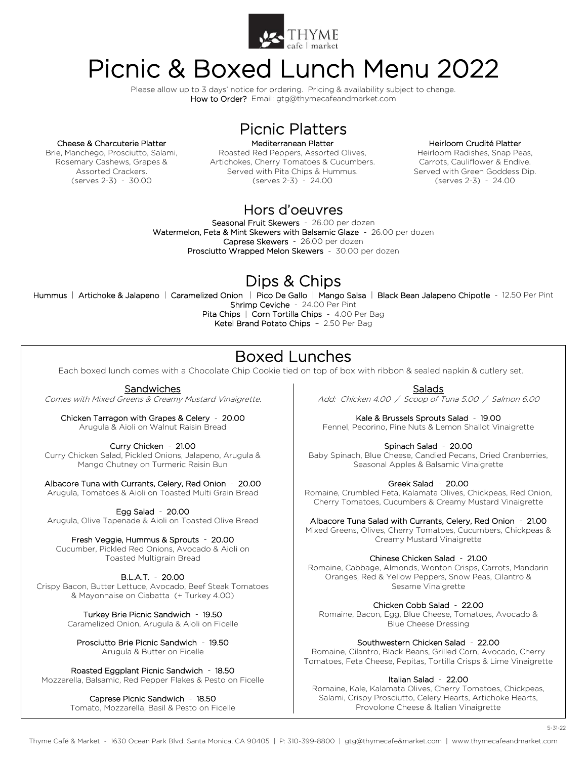

## Picnic & Boxed Lunch Menu 2022

Please allow up to 3 days' notice for ordering. Pricing & availability subject to change. How to Order? Email: gtg@thymecafeandmarket.com

#### Cheese & Charcuterie Platter

Brie, Manchego, Prosciutto, Salami, Rosemary Cashews, Grapes & Assorted Crackers. (serves 2-3) - 30.00

Mediterranean Platter Roasted Red Peppers, Assorted Olives, Artichokes, Cherry Tomatoes & Cucumbers. Served with Pita Chips & Hummus. (serves 2-3) - 24.00

Picnic Platters

#### Heirloom Crudité Platter

Heirloom Radishes, Snap Peas, Carrots, Cauliflower & Endive. Served with Green Goddess Dip. (serves 2-3) - 24.00

## Hors d'oeuvres

Seasonal Fruit Skewers - 26.00 per dozen Watermelon, Feta & Mint Skewers with Balsamic Glaze - 26.00 per dozen Caprese Skewers - 26.00 per dozen Prosciutto Wrapped Melon Skewers - 30.00 per dozen

## Dips & Chips

Hummus | Artichoke & Jalapeno | Caramelized Onion | Pico De Gallo | Mango Salsa | Black Bean Jalapeno Chipotle - 12.50 Per Pint Shrimp Ceviche - 24.00 Per Pint

Pita Chips | Corn Tortilla Chips - 4.00 Per Bag Ketel Brand Potato Chips – 2.50 Per Bag

## Boxed Lunches

Each boxed lunch comes with a Chocolate Chip Cookie tied on top of box with ribbon & sealed napkin & cutlery set.

### **Sandwiches**

Comes with Mixed Greens & Creamy Mustard Vinaigrette.

Chicken Tarragon with Grapes & Celery - 20.00 Arugula & Aioli on Walnut Raisin Bread

Curry Chicken - 21.00

Curry Chicken Salad, Pickled Onions, Jalapeno, Arugula & Mango Chutney on Turmeric Raisin Bun

Albacore Tuna with Currants, Celery, Red Onion - 20.00 Arugula, Tomatoes & Aioli on Toasted Multi Grain Bread

Egg Salad - 20.00

Arugula, Olive Tapenade & Aioli on Toasted Olive Bread

Fresh Veggie, Hummus & Sprouts - 20.00 Cucumber, Pickled Red Onions, Avocado & Aioli on Toasted Multigrain Bread

B.L.A.T. - 20.00 Crispy Bacon, Butter Lettuce, Avocado, Beef Steak Tomatoes & Mayonnaise on Ciabatta (+ Turkey 4.00)

> Turkey Brie Picnic Sandwich - 19.50 Caramelized Onion, Arugula & Aioli on Ficelle

Prosciutto Brie Picnic Sandwich - 19.50 Arugula & Butter on Ficelle

Roasted Eggplant Picnic Sandwich - 18.50 Mozzarella, Balsamic, Red Pepper Flakes & Pesto on Ficelle

> Caprese Picnic Sandwich - 18.50 Tomato, Mozzarella, Basil & Pesto on Ficelle

Salads Add: Chicken 4.00 / Scoop of Tuna 5.00 / Salmon 6.00

Kale & Brussels Sprouts Salad - 19.00 Fennel, Pecorino, Pine Nuts & Lemon Shallot Vinaigrette

Spinach Salad - 20.00 Baby Spinach, Blue Cheese, Candied Pecans, Dried Cranberries, Seasonal Apples & Balsamic Vinaigrette

Greek Salad - 20.00

Romaine, Crumbled Feta, Kalamata Olives, Chickpeas, Red Onion, Cherry Tomatoes, Cucumbers & Creamy Mustard Vinaigrette

Albacore Tuna Salad with Currants, Celery, Red Onion - 21.00

Mixed Greens, Olives, Cherry Tomatoes, Cucumbers, Chickpeas & Creamy Mustard Vinaigrette

Chinese Chicken Salad - 21.00

Romaine, Cabbage, Almonds, Wonton Crisps, Carrots, Mandarin Oranges, Red & Yellow Peppers, Snow Peas, Cilantro & Sesame Vinaigrette

Chicken Cobb Salad - 22.00

Romaine, Bacon, Egg, Blue Cheese, Tomatoes, Avocado & Blue Cheese Dressing

Southwestern Chicken Salad - 22.00

Romaine, Cilantro, Black Beans, Grilled Corn, Avocado, Cherry Tomatoes, Feta Cheese, Pepitas, Tortilla Crisps & Lime Vinaigrette

#### Italian Salad - 22.00

Romaine, Kale, Kalamata Olives, Cherry Tomatoes, Chickpeas, Salami, Crispy Prosciutto, Celery Hearts, Artichoke Hearts, Provolone Cheese & Italian Vinaigrette